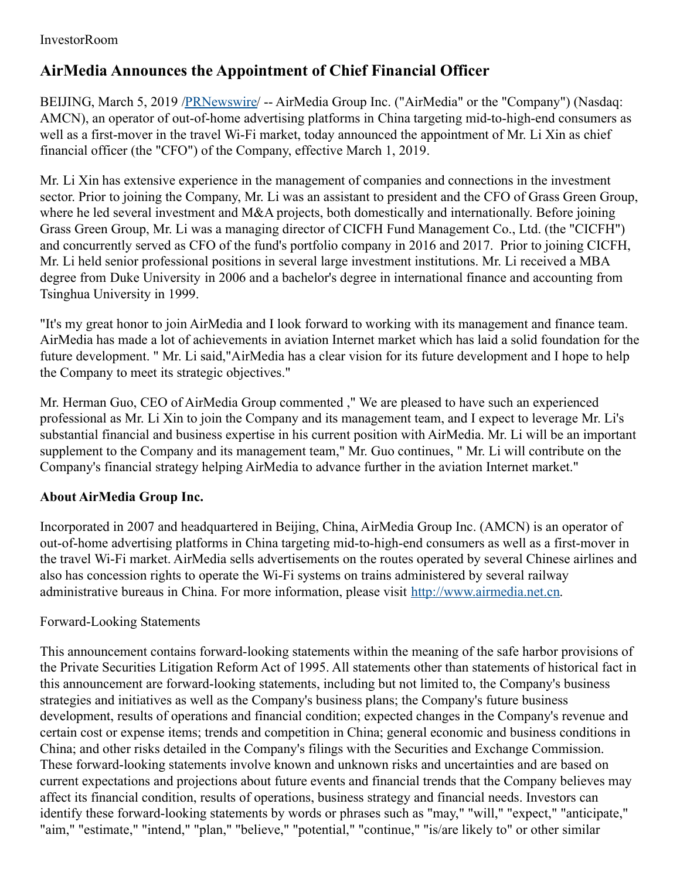## InvestorRoom

## **AirMedia Announces the Appointment of Chief Financial Officer**

BEIJING, March 5, 2019 /[PRNewswire](http://www.prnewswire.com/)/ -- AirMedia Group Inc. ("AirMedia" or the "Company") (Nasdaq: AMCN), an operator of out-of-home advertising platforms in China targeting mid-to-high-end consumers as well as a first-mover in the travel Wi-Fi market, today announced the appointment of Mr. Li Xin as chief financial officer (the "CFO") of the Company, effective March 1, 2019.

Mr. Li Xin has extensive experience in the management of companies and connections in the investment sector. Prior to joining the Company, Mr. Li was an assistant to president and the CFO of Grass Green Group, where he led several investment and M&A projects, both domestically and internationally. Before joining Grass Green Group, Mr. Li was a managing director of CICFH Fund Management Co., Ltd. (the "CICFH") and concurrently served as CFO of the fund's portfolio company in 2016 and 2017. Prior to joining CICFH, Mr. Li held senior professional positions in several large investment institutions. Mr. Li received a MBA degree from Duke University in 2006 and a bachelor's degree in international finance and accounting from Tsinghua University in 1999.

"It's my great honor to join AirMedia and I look forward to working with its management and finance team. AirMedia has made a lot of achievements in aviation Internet market which has laid a solid foundation for the future development. " Mr. Li said,"AirMedia has a clear vision for its future development and I hope to help the Company to meet its strategic objectives."

Mr. Herman Guo, CEO of AirMedia Group commented ," We are pleased to have such an experienced professional as Mr. Li Xin to join the Company and its management team, and I expect to leverage Mr. Li's substantial financial and business expertise in his current position with AirMedia. Mr. Li will be an important supplement to the Company and its management team," Mr. Guo continues, " Mr. Li will contribute on the Company's financial strategy helping AirMedia to advance further in the aviation Internet market."

## **About AirMedia Group Inc.**

Incorporated in 2007 and headquartered in Beijing, China, AirMedia Group Inc. (AMCN) is an operator of out-of-home advertising platforms in China targeting mid-to-high-end consumers as well as a first-mover in the travel Wi-Fi market. AirMedia sells advertisements on the routes operated by several Chinese airlines and also has concession rights to operate the Wi-Fi systems on trains administered by several railway administrative bureaus in China. For more information, please visit [http://www.airmedia.net.cn](http://www.airmedia.net.cn/).

## Forward-Looking Statements

This announcement contains forward-looking statements within the meaning of the safe harbor provisions of the Private Securities Litigation Reform Act of 1995. All statements other than statements of historical fact in this announcement are forward-looking statements, including but not limited to, the Company's business strategies and initiatives as well as the Company's business plans; the Company's future business development, results of operations and financial condition; expected changes in the Company's revenue and certain cost or expense items; trends and competition in China; general economic and business conditions in China; and other risks detailed in the Company's filings with the Securities and Exchange Commission. These forward-looking statements involve known and unknown risks and uncertainties and are based on current expectations and projections about future events and financial trends that the Company believes may affect its financial condition, results of operations, business strategy and financial needs. Investors can identify these forward-looking statements by words or phrases such as "may," "will," "expect," "anticipate," "aim," "estimate," "intend," "plan," "believe," "potential," "continue," "is/are likely to" or other similar